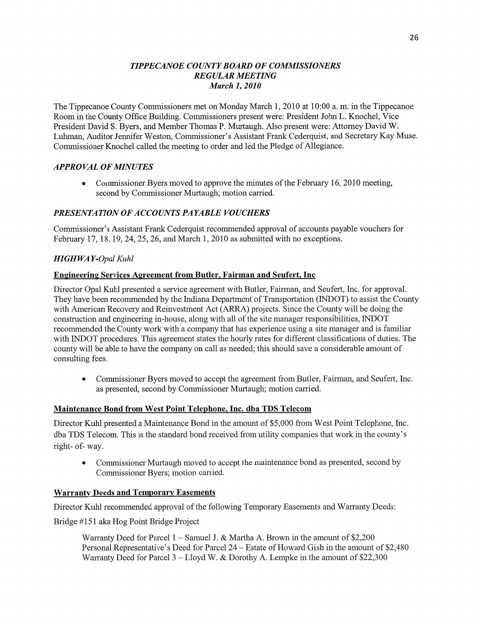## *TIPPE CANOE COUNT Y BOARD* OF *COMMSSIONERS REGULAR MEETING March* 1, *2010*

The Tippecanoe County Commissioners met on Monday March 1, 2010 at 10:00 a. m. in the Tippecanoe Room in the County Office Building. Commissioners present were: President John L. Knochel, **Vice**  President David S. Byers, and Member Thomas P. Murtaugh. Also present were: Attorney David W. Luhman, Auditor Jennifer Weston, Commissioner's Assistant Frank Cederquist, and Secretary Kay **Muse.**  Commissioner Knochel called the meeting to order and led the Pledge of Allegiance.

## *APPROVAL* OF *MINUTES*

**0** Commissioner Byers moved to approve the minutes of the February 16, 2010 meeting, second by Commissioner Murtaugh; motion carried.

## *PRESENTATION* OF *ACCOUNT S* PA *YABLE VOUCHERS*

Commissioner's Assistant Frank Cederquist recommended approval of accounts payable vouchers for February 17, 18, 19, 24, 25, 26, and March 1, 2010 as submitted with no exceptions.

## *HIGH* WA *Y-Opal Kuhl*

## Engineering **Services Agreement from Butler, Fairman** and **Seufert,** Inc

Director Opal Kuhl presented a service agreement with Butler, Fairman, and Seufert, Inc. for approval. They have been recommended by the Indiana Department of Transportation (INDOT) to assist the County with American Recovery and Reinvestment Act (ARRA) projects. Since the County will be doing the construction and engineering in-house, along with all of the site manager responsibilities, INDOT recommended the County work with **<sup>a</sup>**company that has experience using a site manager and is familiar with INDOT procedures. **This** agreement states the hourly rates for different classifications of duties. The county will be able to have the company on call as needed; this should save a considerable amount of consulting fees.

**0** Commissioner Byers moved to accept the agreement from Butler, Fairman, and Seufert, **Inc.**  as presented, second by Commissioner Murtaugh; motion carried.

## **Maintenance Bond** from West Point **Teleghone,** Inc. dba TDS **Telecom**

Director Kuhl presented a Maintenance Bond in the amount of \$5,000 from West **Point** Telephone, Inc. dba TDS Telecom. This is the standard bond received fiom utility companies that work in the county's right- of-way.

• Commissioner Murtaugh moved to accept the maintenance bond as presented, second by Commissioner Byers; motion carried.

#### **Warranty Deeds and Temporary Easements**

Director **Kuhl** recommended approval of the following Temporary Easements and Warranty Deeds:

Bridge #151 aka Hog Point Bridge Project

Warranty Deed for Parcel **1 —** Samuel J. & Martha A. Brown in the amount of \$2,200 Personal Representative's Deed for Parcel 24 — Estate of Howard Gish in the amount of \$2,480 Warranty Deed for Parcel 3 — Lloyd W. & Dorothy A. Lempke in the amount of \$22,300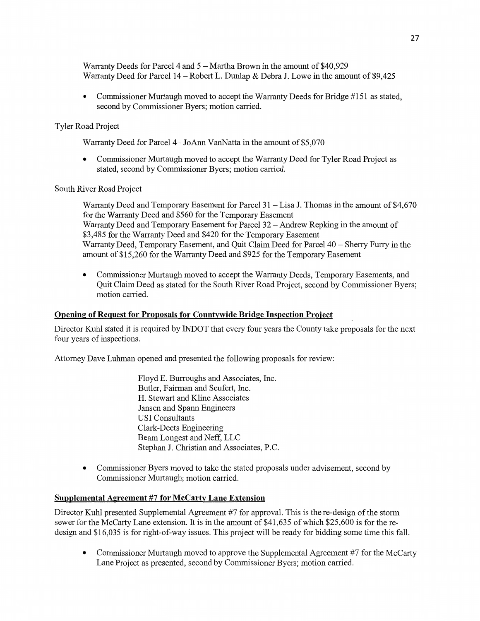Warranty Deeds for Parcel 4 and 5 **-** Martha Brown in the amount of \$40,929 Warranty Deed for Parcel 14 **—** Robert L. Dunlap & Debra J. Lowe in the **amount** of \$9,425

Commissioner Murtaugh moved to accept the Warranty Deeds for Bridge #151 as stated, second by Commissioner Byers; motion **carried.** 

## Tyler Road Project

Warranty Deed for Parcel 4— JoAnn VanNatta in the **amount** of \$5,070

Commissioner Murtaugh moved to accept the Warranty Deed for Tyler Road Project as stated, **second** by Commissioner Byers; motion carried.

## **South** River Road Project

Warranty Deed and Temporary Easement for Parcel 31 -— **Lisa** J. **Thomas** in the **amount** of \$4,670 for the Warranty Deed and \$560 for the Temporary Easement Warranty Deed and Temporary Easement for Parcel 32 **—** Andrew Repking in the **amount** of \$3,485 for the Warranty Deed and \$420 for the Temporary Easement Warranty Deed, Temporary Easement, and Quit Claim Deed for Parcel 40 - Sherry Furry in the amount of \$15,260 for the Warranty Deed and \$925 for the Temporary Basement

• Commissioner Murtaugh moved to accept the Warranty Deeds, Temporary Easements, and Quit Claim Deed as stated for the **South** River **Road** Project, second by Commissioner Byers; motion carried.

#### **Opening of Request for Proposals for Countywide Bridge Inspection Project**

Director Kuhl stated it is required by INDOT that every four years the County take proposals for the next four years of inspections.

Attorney Dave Luhman opened and presented the following proposals for review:

Floyd E. Burroughs and Associates, Inc. Butler, Fairman and Seufert, **Inc.**  H. Stewart and Kline Associates Jansen and Spam Engineers USI Consultants Clark-Deets Engineering Beam Longest and Neff, LLC Stephan J. Christian and Associates, PC.

**0** Commissioner Byers **moved** to take the stated proposals under advisement, second by Commissioner Murtaugh; motion carried.

#### Supplemental **Agreement** #7 for **McCarty Lane Extension**

Director Kuhl presented Supplemental Agreement #7 for approval. **This** is the re-design of the storm **sewer** for the McCarty Lane extension. It is in the amount of \$41,635 of which \$25,600 is for the redesign and \$16,035 is for right-of—way issues. This project will be ready for bidding **some** time **this** fall.

• Commissioner Murtaugh moved to approve the Supplemental Agreement #7 for the McCarty **Lane** Project as presented, second by Commissioner Byers; motion carried.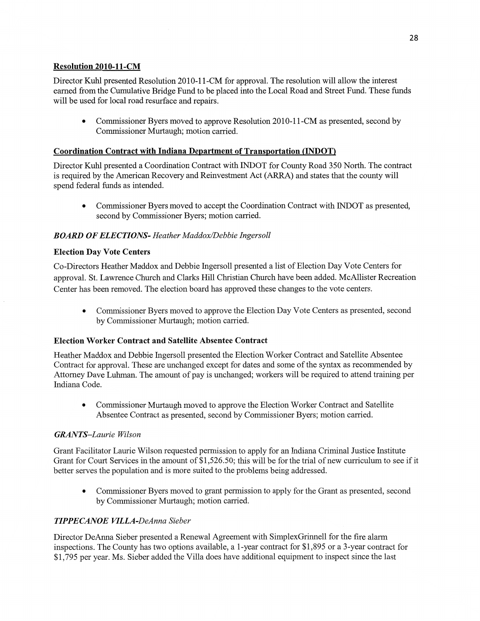# **Resolution 2010-11-CM**

Director Kuhl presented Resolution 2010-11-CM for approval. The resolution will allow the interest earned from the Cumulative Bridge Fund to be placed into the Local Road and Street Fund. These funds will be used for local road resurface and repairs.

**0** Commissioner Byers moved to approve Resolution 2010-11-CM as presented, second by Commissioner Murtaugh; motion carried.

## *Coordination Contract with Indiana Department of Transportation (INDOT)*

Director Kuhl presented **a** Coordination Contract with INDOT for County Road 350 North. The contract is required by the American Recovery and Reinvestment Act (ARRA) and states that the county will spend federal funds as intended.

**0** Commissioner Byers moved to accept the Coordination Contract with INDOT as presented, second by Commissioner Byers; motion carried.

## **BOARD OF ELECTIONS-** Heather Maddox/Debbie Ingersoll

## **Election** Day **Vote** Centers

Co-Directors Heather Maddox and Debbie Ingersoll presented **a** list of Election Day Vote Centers for approval. St. Lawrence Church and Clarks **Hill** Christian Church have been added. McAllister Recreation Center has been removed. The election board has approved these changes to the vote centers.

**0** Commissioner Byers moved to approve the Election Day Vote Centers as presented, second by Commissioner Murtaugh; motion carried.

## **Election** Worker Contract and Satellite **Absentee Contract**

Heather Maddox and Debbie Ingersoll presented the Election Worker Contract and Satellite Absentee Contract for approval. These are unchanged except for dates and some of the syntax as recommended by Attorney Dave Luhman. The amount of pay is unchanged; workers will be required to attend trajning per Indiana Code.

**0** Commissioner Murtaugh **moved** to approve the Election Worker Contract and Satellite Absentee Contract as presented, second by Commissioner Byers; motion carried.

## *GRANTS-Laurie Wilson*

Grant Facilitator Laurie Wilson requested permission to apply for an Indiana Criminal Justice Institute Grant for Court Services in the amount of \$1,526.50; this will be for the trial of new curriculum to see if it better serves the population and is more suited to the problems being addressed.

**0** Commissioner Byers moved to grant permission to apply for the Grant as presented, second by Commissioner Murtaugh; motion carried.

## *T IPPECANOE VILLA-DeAnna Sieber*

Director DeAnna Sieber presented a Renewal Agreement with SimplexGrinnell for the fire alarm inspections. The County has two options available, a 1-year contract for \$1,895 or a 3-year contract for \$1,795 per year. Ms. Sieber added the Villa does have additional equipment to inspect since the last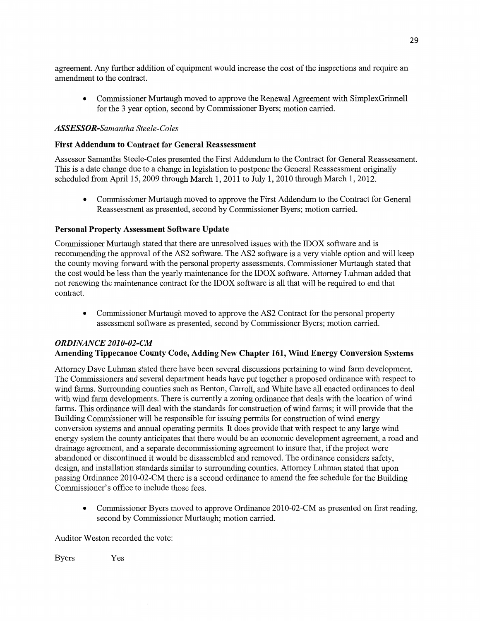agreement. Any **fither** addition of **equipment** would increase the cost of the inspections and require an amendment to the contract.

**0** Commissioner Murtaugh moved to approve the Renewal **Agreement** with **SimplexGrinnell**  for the 3 year option, second by **Commissioner** Byers; **motion** carried.

## *ASSESSOR-Samantha Steele-Coles*

## **First Addendum** to **Contract** for **General Reassessment**

**Assessor Samantha** Steele-C0165 presented the First Addendum to the Contract for General Reassessment. **This** is a date change due to a change in **legislation** to postpone the General Reassessment originally scheduled from April 15, 2009 through March 1, 2011 to July 1, 2010 through March 1, **2012.** 

**0 Commissioner** Murtaugh **moved** to approve the First **Addendum** to the Contract for General Reassessment as presented, second by Commissioner Byers; **motion** carried.

## **Personal Property Assessment Software Update**

Commissioner Murtaugh stated that there are unresolved **issues** with the IDOX sofiwarc and is recommending the approval of the A82 software. The AS2 software is a very viable option and Will **keep**  the county moving forward with the personal property assessments. Commissioner Murtaugh stated that the cost would be less than the yearly maintenance for the IDOX software. Attorney Luhman added that not renewing the maintenance contract for the IDOX software is all that will be required to end that contract.

• Commissioner Murtaugh moved to approve the AS2 Contract for the personal property assessment software as presented, second by Commissioner Byers; motion carried.

## *ORDINANCE 2010-02-CM*  **Amending Tippecanoe County Code, Adding** New **Chapter 161,** Wind **Energy Conversion Systems**

Attorney Dave Luhman stated there have **been** several discussions pertaining to wind farm development. The Commissioners and several department heads have put together a proposed ordinance with respect to wind farms. Surrounding counties such as Benton, Carroll, and White have all enacted ordinances to deal with wind farm developments. There is currently **a** zoning ordinance that deals with the location of wind farms. This ordinance will deal with the standards for **construction** of **wind** farms; it will provide that the Building Commissioner will be responsible for issuing permits for construction of wind energy conversion systems and annual operating permits. It does provide that with respect to any large wind energy system the county anticipates that there would be an economic development agreement, a road and drainage agreement, and a separate decommissioning agreement to insure that, if the project were abandoned or discontinued it would be disassembled and removed. The ordinance considers safety, design, and installation standards similar to surrounding counties. Attorney Luhman stated that upon passing Ordinance 2010-02-CM there is **a** second ordinance to amend the fee schedule for the Building Commissioner's office to include those fees.

• Commissioner Byers moved to approve Ordinance 2010-02-CM as presented on first reading, second by Commissioner Murtaugh; motion carried.

Auditor Weston recorded the vote:

Byers Yes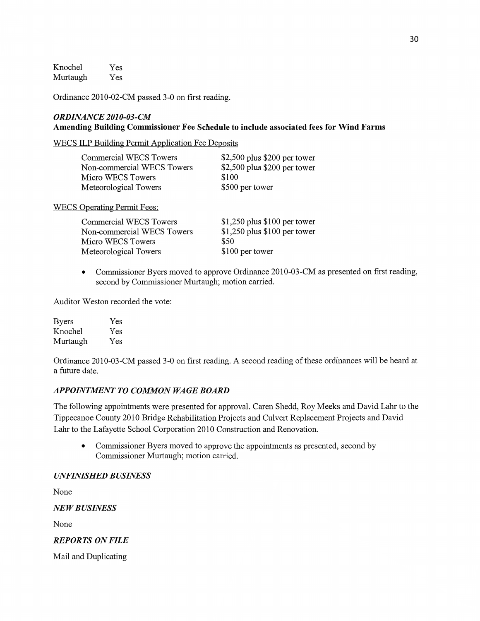Knochel Yes Murtaugh Yes

Ordinance 2010-02-CM passed 3-0 on first reading.

## *ORDINANCE 2* 01 *0-03-* CM **Amending** Building **Commissioner** Fee **Schedule** to **include associated fees** for **Wind Farms**

WECS ILP Building Permit Application Fee Deposits

| Commercial WECS Towers     | $$2,500$ plus \$200 per tower |
|----------------------------|-------------------------------|
| Non-commercial WECS Towers | \$2,500 plus \$200 per tower  |
| Micro WECS Towers          | \$100                         |
| Meteorological Towers      | \$500 per tower               |

WECS Qperating Permit Fees:

| Commercial WECS Towers     | $$1,250$ plus $$100$ per tower |
|----------------------------|--------------------------------|
| Non-commercial WECS Towers | $$1,250$ plus $$100$ per tower |
| Micro WECS Towers          | \$50                           |
| Meteorological Towers      | \$100 per tower                |

**0** Commissioner Byers moved to approve Ordinance 2010—03-CM as presented on first reading, second by Commissioner Murtaugh; motion carried.

Auditor Weston recorded the vote:

| <b>Byers</b> | Yes |
|--------------|-----|
| Knochel      | Yes |
| Murtaugh     | Yes |

Ordinance 2010-03-CM passed 3-0 on first reading. A second reading of these ordinances will be heard at a future date.

## **APPOINTMENT TO COMMON WAGE BOARD**

The following appointments were presented for approval. Caren Shedd, Roy Meeks and David Lahr to the Tippecanoe County 2010 Bridge Rehabilitation Projects and Culvert Replacement Projects and David Lahr to the Lafayette School Corporation 2010 Construction and Renovation.

**0** Commissioner Byers moved to approve the appointments as presented, second by Commissioner Murtaugh; motion carried.

#### *UNFINISHED BUSINESS*

None

NE *W B USINESS* 

None

*REPORTS* ON *FILE* 

Mail and Duplicating